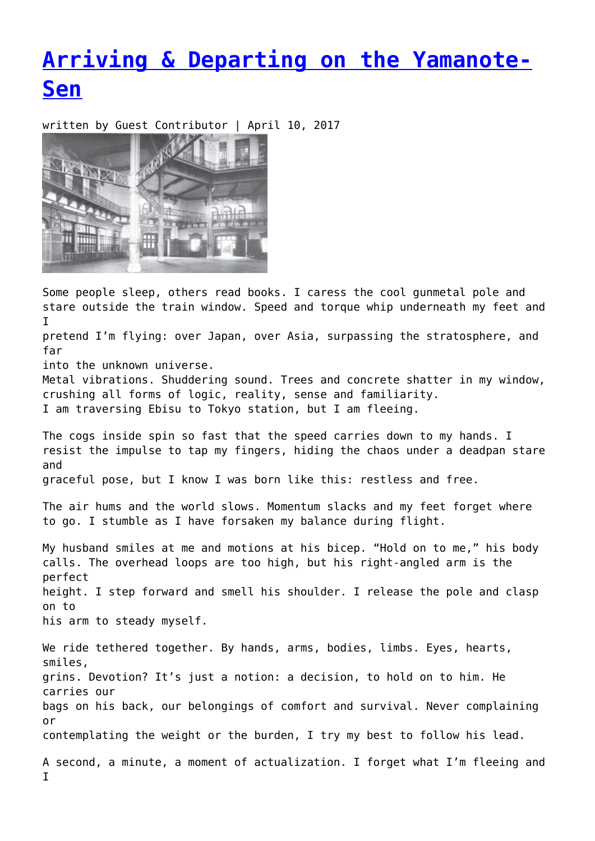## **[Arriving & Departing on the Yamanote-](https://entropymag.org/arriving-departing-on-the-yamanote-sen/)[Sen](https://entropymag.org/arriving-departing-on-the-yamanote-sen/)**

written by Guest Contributor | April 10, 2017



Some people sleep, others read books. I caress the cool gunmetal pole and stare outside the train window. Speed and torque whip underneath my feet and I

pretend I'm flying: over Japan, over Asia, surpassing the stratosphere, and far

into the unknown universe.

Metal vibrations. Shuddering sound. Trees and concrete shatter in my window, crushing all forms of logic, reality, sense and familiarity. I am traversing Ebisu to Tokyo station, but I am fleeing.

The cogs inside spin so fast that the speed carries down to my hands. I resist the impulse to tap my fingers, hiding the chaos under a deadpan stare and

graceful pose, but I know I was born like this: restless and free.

The air hums and the world slows. Momentum slacks and my feet forget where to go. I stumble as I have forsaken my balance during flight.

My husband smiles at me and motions at his bicep. "Hold on to me," his body calls. The overhead loops are too high, but his right-angled arm is the perfect height. I step forward and smell his shoulder. I release the pole and clasp on to his arm to steady myself.

We ride tethered together. By hands, arms, bodies, limbs. Eyes, hearts, smiles, grins. Devotion? It's just a notion: a decision, to hold on to him. He carries our bags on his back, our belongings of comfort and survival. Never complaining or contemplating the weight or the burden, I try my best to follow his lead. A second, a minute, a moment of actualization. I forget what I'm fleeing and

I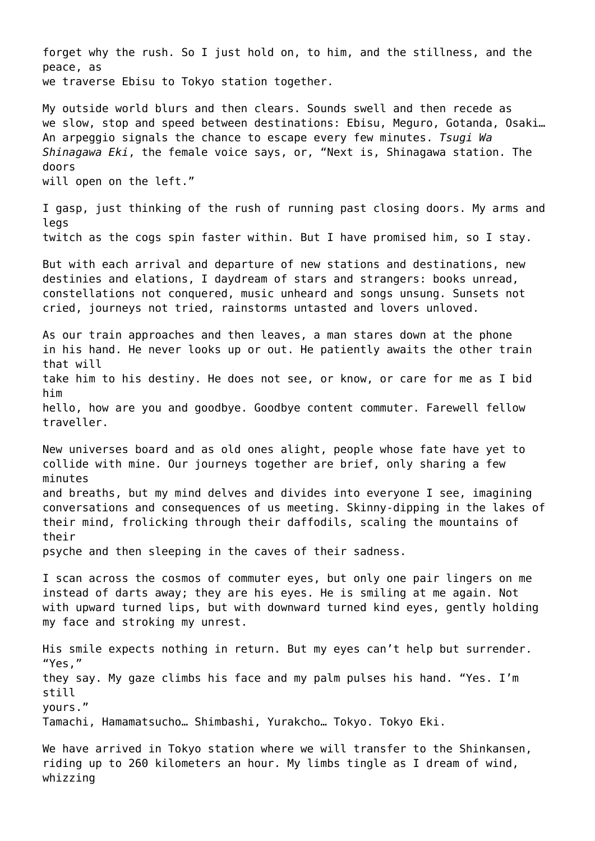forget why the rush. So I just hold on, to him, and the stillness, and the peace, as we traverse Ebisu to Tokyo station together. My outside world blurs and then clears. Sounds swell and then recede as we slow, stop and speed between destinations: Ebisu, Meguro, Gotanda, Osaki… An arpeggio signals the chance to escape every few minutes. *Tsugi Wa Shinagawa Eki*, the female voice says, or, "Next is, Shinagawa station. The doors will open on the left." I gasp, just thinking of the rush of running past closing doors. My arms and legs twitch as the cogs spin faster within. But I have promised him, so I stay. But with each arrival and departure of new stations and destinations, new destinies and elations, I daydream of stars and strangers: books unread, constellations not conquered, music unheard and songs unsung. Sunsets not cried, journeys not tried, rainstorms untasted and lovers unloved. As our train approaches and then leaves, a man stares down at the phone in his hand. He never looks up or out. He patiently awaits the other train that will take him to his destiny. He does not see, or know, or care for me as I bid him hello, how are you and goodbye. Goodbye content commuter. Farewell fellow traveller. New universes board and as old ones alight, people whose fate have yet to collide with mine. Our journeys together are brief, only sharing a few minutes and breaths, but my mind delves and divides into everyone I see, imagining conversations and consequences of us meeting. Skinny-dipping in the lakes of their mind, frolicking through their daffodils, scaling the mountains of their psyche and then sleeping in the caves of their sadness. I scan across the cosmos of commuter eyes, but only one pair lingers on me instead of darts away; they are his eyes. He is smiling at me again. Not with upward turned lips, but with downward turned kind eyes, gently holding my face and stroking my unrest. His smile expects nothing in return. But my eyes can't help but surrender. "Yes," they say. My gaze climbs his face and my palm pulses his hand. "Yes. I'm still yours." Tamachi, Hamamatsucho… Shimbashi, Yurakcho… Tokyo. Tokyo Eki. We have arrived in Tokyo station where we will transfer to the Shinkansen, riding up to 260 kilometers an hour. My limbs tingle as I dream of wind, whizzing